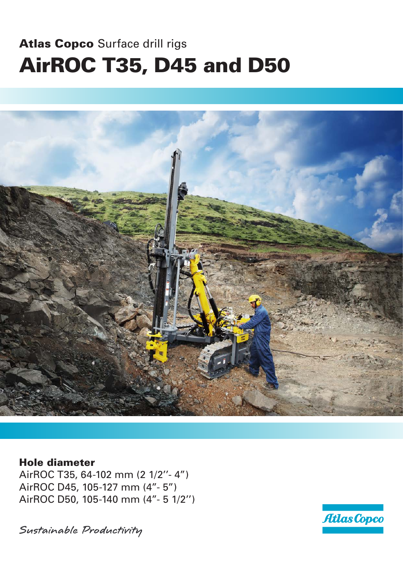## Atlas Copco Surface drill rigs AirROC T35, D45 and D50



### Hole diameter

AirROC T35, 64-102 mm (2 1/2''- 4") AirROC D45, 105-127 mm (4"- 5") AirROC D50, 105-140 mm (4"- 5 1/2'')

Sustainable Productivity

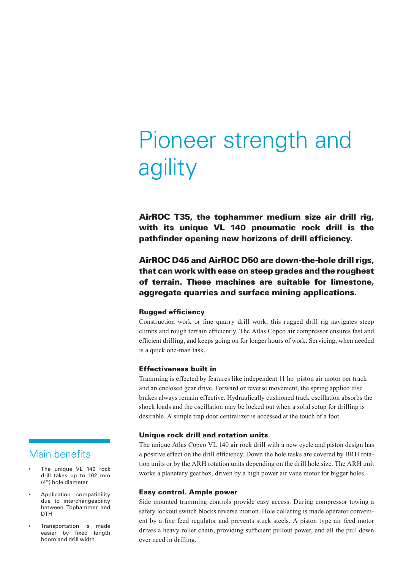# Pioneer strength and agility

AirROC T35, the tophammer medium size air drill rig, with its unique VL 140 pneumatic rock drill is the pathfinder opening new horizons of drill efficiency.

AirROC D45 and AirROC D50 are down-the-hole drill rigs, that can work with ease on steep grades and the roughest of terrain. These machines are suitable for limestone, aggregate quarries and surface mining applications.

### Rugged efficiency

Construction work or fine quarry drill work, this rugged drill rig navigates steep climbs and rough terrain efficiently. The Atlas Copco air compressor ensures fast and efficient drilling, and keeps going on for longer hours of work. Servicing, when needed is a quick one-man task.

### Effectiveness built in

Tramming is effected by features like independent 11 hp piston air motor per track and an enclosed gear drive. Forward or reverse movement, the spring applied disc brakes always remain effective. Hydraulically cushioned track oscillation absorbs the shock loads and the oscillation may be locked out when a solid setup for drilling is desirable. A simple trap door centralizer is accessed at the touch of a foot.

#### Unique rock drill and rotation units

The unique Atlas Copco VL 140 air rock drill with a new cycle and piston design has a positive effect on the drill efficiency. Down the hole tasks are covered by BRH rotation units or by the ARH rotation units depending on the drill hole size. The ARH unit works a planetary gearbox, driven by a high power air vane motor for bigger holes.

### Easy control. Ample power

Side mounted tramming controls provide easy access. During compressor towing a safety lockout switch blocks reverse motion. Hole collaring is made operator convenient by a fine feed regulator and prevents stuck steels. A piston type air feed motor drives a heavy roller chain, providing sufficient pullout power, and all the pull down ever need in drilling.

### Main benefits

- The unique VL 140 rock drill takes up to 102 mm (4") hole diameter
- Application compatibility due to interchangeability between Tophammer and **DTH**
- Transportation is made easier by fixed length boom and drill width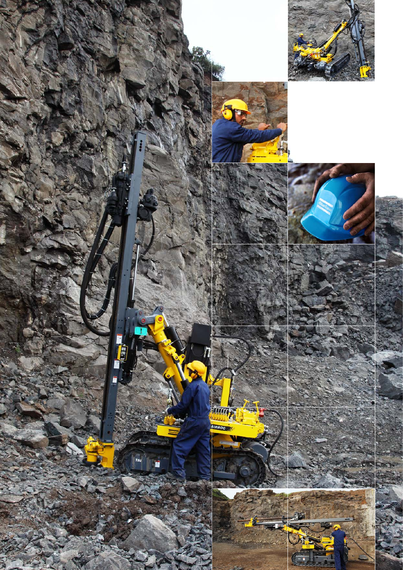